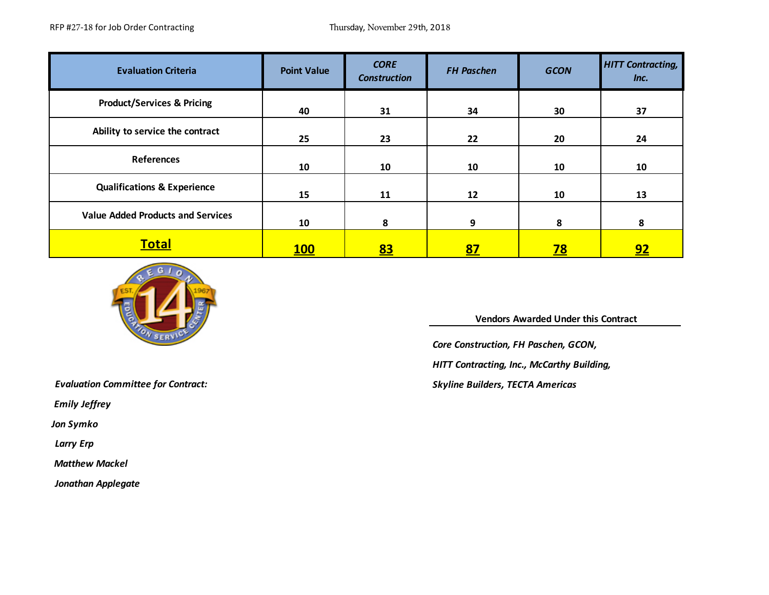RFP #27-18 for Job Order Contracting Thursday, November 29th, 2018

| <b>Evaluation Criteria</b>               | <b>Point Value</b> | <b>CORE</b><br><b>Construction</b> | <b>FH Paschen</b> | <b>GCON</b> | <b>HITT Contracting,</b><br>Inc. |
|------------------------------------------|--------------------|------------------------------------|-------------------|-------------|----------------------------------|
| <b>Product/Services &amp; Pricing</b>    | 40                 | 31                                 | 34                | 30          | 37                               |
| Ability to service the contract          | 25                 | 23                                 | 22                | 20          | 24                               |
| <b>References</b>                        | 10                 | 10                                 | 10                | 10          | 10                               |
| <b>Qualifications &amp; Experience</b>   | 15                 | 11                                 | 12                | 10          | 13                               |
| <b>Value Added Products and Services</b> | 10                 | 8                                  | 9                 | 8           | 8                                |
| <b>Total</b>                             | <b>100</b>         | <u>83</u>                          | <u>87</u>         | <u>78</u>   | <u>92</u>                        |



 **Vendors Awarded Under this Contract** 

*Core Construction, FH Paschen, GCON,* 

*HITT Contracting, Inc., McCarthy Building,* 

*Skyline Builders, TECTA Americas*

*Evaluation Committee for Contract:* 

 *Emily Jeffrey*

*Jon Symko*

*Larry Erp*

 *Matthew Mackel*

*Jonathan Applegate*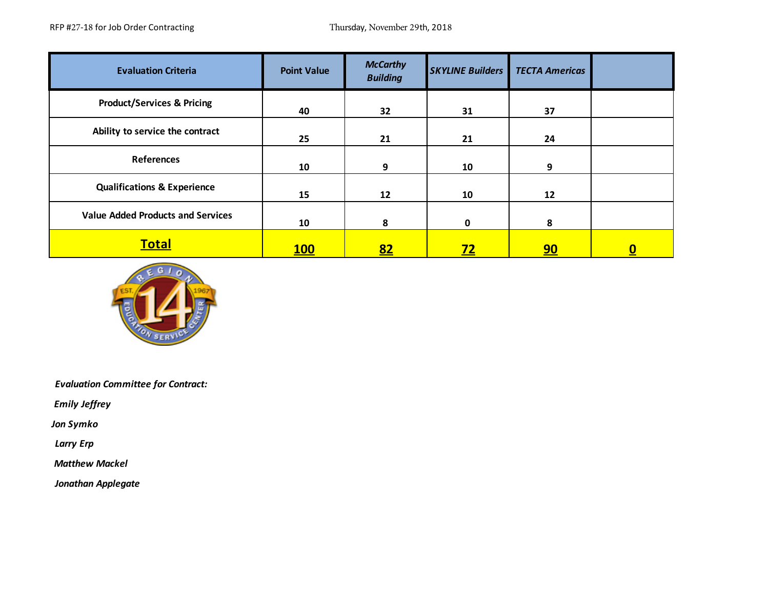| <b>Evaluation Criteria</b>               | <b>Point Value</b> | <b>McCarthy</b><br><b>Building</b> | <b>SKYLINE Builders</b> | <b>TECTA Americas</b> |   |
|------------------------------------------|--------------------|------------------------------------|-------------------------|-----------------------|---|
| <b>Product/Services &amp; Pricing</b>    | 40                 | 32                                 | 31                      | 37                    |   |
| Ability to service the contract          | 25                 | 21                                 | 21                      | 24                    |   |
| <b>References</b>                        | 10                 | 9                                  | 10                      | 9                     |   |
| <b>Qualifications &amp; Experience</b>   | 15                 | 12                                 | 10                      | 12                    |   |
| <b>Value Added Products and Services</b> | 10                 | 8                                  | 0                       | 8                     |   |
| <b>Total</b>                             | <b>100</b>         | <u>82</u>                          | <u>72</u>               | <u>90</u>             | 0 |



*Evaluation Committee for Contract:* 

 *Emily Jeffrey*

*Jon Symko*

*Larry Erp*

 *Matthew Mackel*

*Jonathan Applegate*